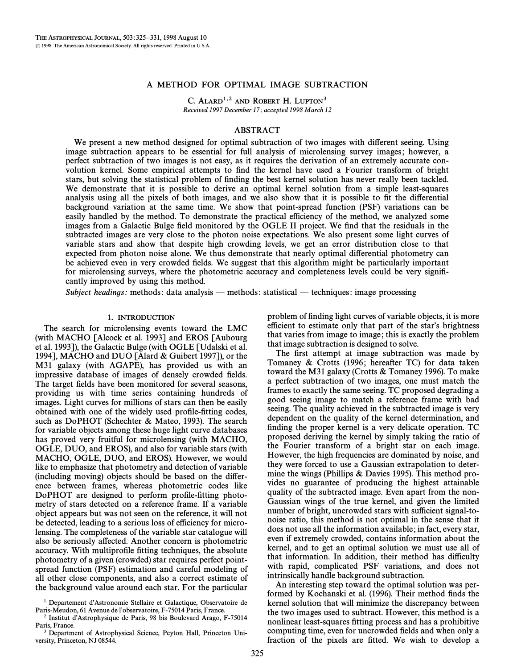## A METHOD FOR OPTIMAL IMAGE SUBTRACTION

C. ALARD<sup>1,2</sup> AND ROBERT H. LUPTON<sup>3</sup> Received 1997 December 17; accepted 1998 March 12

# ABSTRACT

We present a new method designed for optimal subtraction of two images with different seeing. Using image subtraction appears to be essential for full analysis of microlensing survey images; however, a perfect subtraction of two images is not easy, as it requires the derivation of an extremely accurate convolution kernel. Some empirical attempts to find the kernel have used a Fourier transform of bright stars, but solving the statistical problem of finding the best kernel solution has never really been tackled. We demonstrate that it is possible to derive an optimal kernel solution from a simple least-squares analysis using all the pixels of both images, and we also show that it is possible to fit the differential background variation at the same time. We show that point-spread function (PSF) variations can be easily handled by the method. To demonstrate the practical efficiency of the method, we analyzed some images from a Galactic Bulge field monitored by the OGLE II project. We find that the residuals in the subtracted images are very close to the photon noise expectations. We also present some light curves of variable stars and show that despite high crowding levels, we get an error distribution close to that expected from photon noise alone. We thus demonstrate that nearly optimal differential photometry can be achieved even in very crowded Ðelds. We suggest that this algorithm might be particularly important for microlensing surveys, where the photometric accuracy and completeness levels could be very significantly improved by using this method.

Subject headings: methods: data analysis — methods: statistical — techniques: image processing

## 1. INTRODUCTION

The search for microlensing events toward the LMC (with MACHO  $\lceil$ Alcock et al. 1993 $\rceil$  and EROS  $\lceil$ Aubourg et al. 1993]), the Galactic Bulge (with OGLE [Udalski et al. 1994], MACHO and DUO [Alard  $&$  Guibert 1997]), or the M31 galaxy (with AGAPE), has provided us with an impressive database of images of densely crowded fields. The target fields have been monitored for several seasons, providing us with time series containing hundreds of images. Light curves for millions of stars can then be easily obtained with one of the widely used profile-fitting codes, such as DoPHOT (Schechter  $\&$  Mateo, 1993). The search for variable objects among these huge light curve databases has proved very fruitful for microlensing (with MACHO, OGLE, DUO, and EROS), and also for variable stars (with MACHO, OGLE, DUO, and EROS). However, we would like to emphasize that photometry and detection of variable (including moving) objects should be based on the di†erence between frames, whereas photometric codes like DoPHOT are designed to perform profile-fitting photometry of stars detected on a reference frame. If a variable object appears but was not seen on the reference, it will not be detected, leading to a serious loss of efficiency for microlensing. The completeness of the variable star catalogue will also be seriously a†ected. Another concern is photometric accuracy. With multiprofile fitting techniques, the absolute photometry of a given (crowded) star requires perfect pointspread function (PSF) estimation and careful modeling of all other close components, and also a correct estimate of the background value around each star. For the particular

2 Institut dÏAstrophysique de Paris, 98 bis Boulevard Arago, F-75014 Paris, France.

problem of finding light curves of variable objects, it is more efficient to estimate only that part of the star's brightness that varies from image to image; this is exactly the problem that image subtraction is designed to solve.

The first attempt at image subtraction was made by Tomaney  $&$  Crotts (1996; hereafter TC) for data taken toward the M31 galaxy (Crotts  $\&$  Tomaney 1996). To make a perfect subtraction of two images, one must match the frames to exactly the same seeing. TC proposed degrading a good seeing image to match a reference frame with bad seeing. The quality achieved in the subtracted image is very dependent on the quality of the kernel determination, and finding the proper kernel is a very delicate operation. TC proposed deriving the kernel by simply taking the ratio of the Fourier transform of a bright star on each image. However, the high frequencies are dominated by noise, and they were forced to use a Gaussian extrapolation to determine the wings (Phillips  $&$  Davies 1995). This method provides no guarantee of producing the highest attainable quality of the subtracted image. Even apart from the non-Gaussian wings of the true kernel, and given the limited number of bright, uncrowded stars with sufficient signal-tonoise ratio, this method is not optimal in the sense that it does not use all the information available; in fact, every star, even if extremely crowded, contains information about the kernel, and to get an optimal solution we must use all of that information. In addition, their method has difficulty with rapid, complicated PSF variations, and does not intrinsically handle background subtraction.

An interesting step toward the optimal solution was performed by Kochanski et al. (1996). Their method finds the kernel solution that will minimize the discrepancy between the two images used to subtract. However, this method is a nonlinear least-squares fitting process and has a prohibitive computing time, even for uncrowded fields and when only a fraction of the pixels are fitted. We wish to develop a

<sup>&</sup>lt;sup>1</sup> Departement d'Astronomie Stellaire et Galactique, Observatoire de Paris-Meudon, 61 Avenue de l'observatoire, F-75014 Paris, France.

<sup>&</sup>lt;sup>3</sup> Department of Astrophysical Science, Peyton Hall, Princeton University, Princeton, NJ 08544.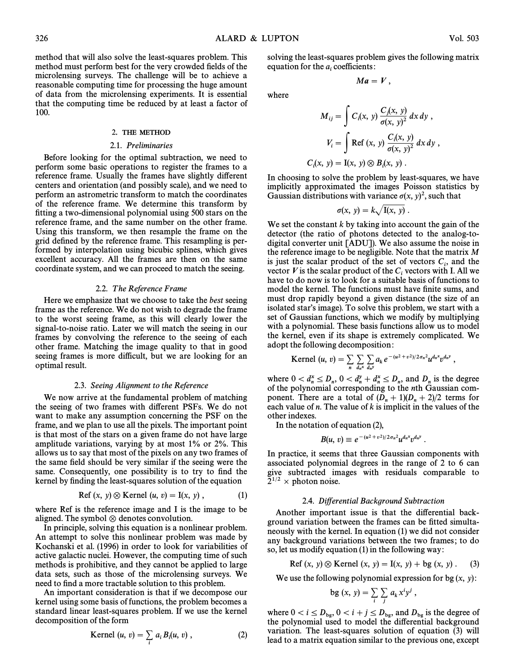where

method that will also solve the least-squares problem. This method must perform best for the very crowded fields of the microlensing surveys. The challenge will be to achieve a reasonable computing time for processing the huge amount of data from the microlensing experiments. It is essential that the computing time be reduced by at least a factor of 100.

#### 2. THE METHOD

#### 2.1. Preliminaries

Before looking for the optimal subtraction, we need to perform some basic operations to register the frames to a reference frame. Usually the frames have slightly different centers and orientation (and possibly scale), and we need to perform an astrometric transform to match the coordinates of the reference frame. We determine this transform by fitting a two-dimensional polynomial using 500 stars on the reference frame, and the same number on the other frame. Using this transform, we then resample the frame on the grid defined by the reference frame. This resampling is performed by interpolation using bicubic splines, which gives excellent accuracy. All the frames are then on the same coordinate system, and we can proceed to match the seeing.

### 2.2. The Reference Frame

Here we emphasize that we choose to take the *best* seeing frame as the reference. We do not wish to degrade the frame to the worst seeing frame, as this will clearly lower the signal-to-noise ratio. Later we will match the seeing in our frames by convolving the reference to the seeing of each other frame. Matching the image quality to that in good seeing frames is more difficult, but we are looking for an optimal result.

### 2.3. Seeing Alignment to the Reference

We now arrive at the fundamental problem of matching the seeing of two frames with different PSFs. We do not want to make any assumption concerning the PSF on the frame, and we plan to use all the pixels. The important point is that most of the stars on a given frame do not have large amplitude variations, varying by at most 1% or 2%. This allows us to say that most of the pixels on any two frames of the same field should be very similar if the seeing were the same. Consequently, one possibility is to try to find the kernel by finding the least-squares solution of the equation

$$
Ref(x, y) \otimes Kernel(u, v) = I(x, y), \qquad (1)
$$

where Ref is the reference image and I is the image to be aligned. The symbol  $\otimes$  denotes convolution.

In principle, solving this equation is a nonlinear problem. An attempt to solve this nonlinear problem was made by Kochanski et al. (1996) in order to look for variabilities of active galactic nuclei. However, the computing time of such methods is prohibitive, and they cannot be applied to large data sets, such as those of the microlensing surveys. We need to find a more tractable solution to this problem.

An important consideration is that if we decompose our kernel using some basis of functions, the problem becomes a standard linear least-squares problem. If we use the kernel decomposition of the form

$$
Kernel (u, v) = \sum_{i} a_i B_i(u, v) , \qquad (2)
$$

solving the least-squares problem gives the following matrix equation for the  $a_i$  coefficients:

$$
Ma=V,
$$

$$
M_{ij} = \int C_i(x, y) \frac{C_j(x, y)}{\sigma(x, y)^2} dx dy,
$$
  

$$
V_i = \int \text{Ref}(x, y) \frac{C_i(x, y)}{\sigma(x, y)^2} dx dy,
$$
  

$$
C_i(x, y) = I(x, y) \otimes B_i(x, y).
$$

In choosing to solve the problem by least-squares, we have implicitly approximated the images Poisson statistics by Gaussian distributions with variance  $\sigma(x, y)^2$ , such that

$$
\sigma(x, y) = k \sqrt{I(x, y)}.
$$

We set the constant  $k$  by taking into account the gain of the detector (the ratio of photons detected to the analog-todigital converter unit [ADU]). We also assume the noise in the reference image to be negligible. Note that the matrix  $M$ is just the scalar product of the set of vectors  $C_i$ , and the vector  $V$  is the scalar product of the  $C$  vectors with L All we vector *V* is the scalar product of the  $C_i$  vectors with I. All we have to do now is to look for a suitable basis of functions to model the kernel. The functions must have finite sums, and must drop rapidly beyond a given distance (the size of an isolated star's image). To solve this problem, we start with a set of Gaussian functions, which we modify by multiplying with a polynomial. These basis functions allow us to model the kernel, even if its shape is extremely complicated. We adopt the following decomposition:

**Kernel** 
$$
(u, v) = \sum_{n} \sum_{d_n x} \sum_{d_n y} a_k e^{-(u^2 + v^2)/2\sigma_n^2} u^{d_n x} v^{d_n y}
$$
,

where  $0 < d_n^x \le D_n$ ,  $0 < d_n^y + d_n^x \le D_n$ , and  $D_n$  is the degree of the polynomial corresponding to the *n*th Gaussian com $n \geq \nu_n$ ,  $\upsilon \leq u_n + u_n$ ponent. There are a total of  $(D_n + 1)(D_n + 2)/2$  terms for each value of n The value of the implicit in the values of the each value of  $n$ . The value of  $k$  is implicit in the values of the other indexes.

In the notation of equation (2),

$$
B(u, v) \equiv e^{-(u^2+v^2)/2\sigma_n^2} u^{d_n x} v^{d_n y}.
$$

In practice, it seems that three Gaussian components with associated polynomial degrees in the range of 2 to 6 can give subtracted images with residuals comparable to  $2^{1/2}$  × photon noise.

#### 2.4. Differential Background Subtraction

Another important issue is that the differential background variation between the frames can be fitted simultaneously with the kernel. In equation  $(1)$  we did not consider any background variations between the two frames; to do so, let us modify equation  $(1)$  in the following way:

Ref 
$$
(x, y) \otimes
$$
 Kernel  $(x, y) = I(x, y) + bg(x, y)$ . (3)

We use the following polynomial expression for bg  $(x, y)$ :

$$
bg(x, y) = \sum_{i} \sum_{j} a_{k} x^{i} y^{j},
$$

where  $0 < i \le D_{\text{bg}}$ ,  $0 < i + j \le D_{\text{bg}}$ , and  $D_{\text{bg}}$  is the degree of the polynomial used to model the differential background variation. The least-squares solution of equation  $(3)$  will lead to a matrix equation similar to the previous one, except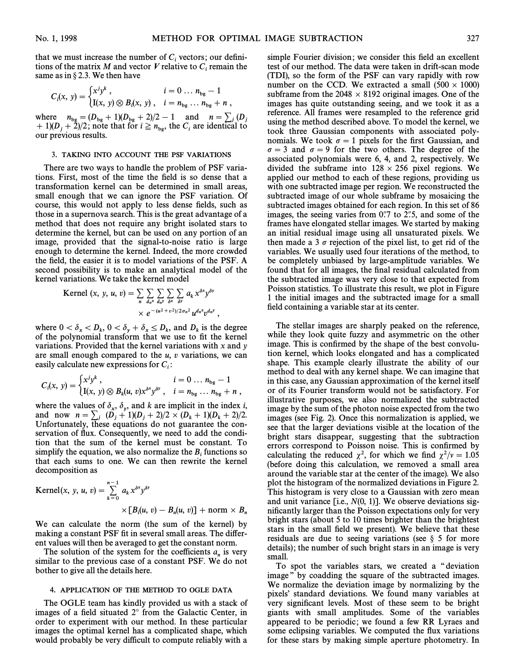that we must increase the number of  $C_i$  vectors; our definitions of the matrix M and vector *V* relative to  $C_i$  remain the same as in  $\S 2.3$ . We then have

$$
C_i(x, y) = \begin{cases} x^j y^k, & i = 0 \dots n_{bg} - 1 \\ I(x, y) \otimes B_i(x, y), & i = n_{bg} \dots n_{bg} + n \end{cases}
$$

where  $n_{bg} = (D_{bg} + 1)(D_{bg} + 2)/2 - 1$  and  $n = \sum_{j} (D_j + 1)(D_{fg} + 2)/2$ ; note that for  $j > n$  the C are identical to + 1)( $D_j$  + 2)/2; note that for  $i \ge n_{bg}$ , the  $C_i$  are identical to our previous results.

### 3. TAKING INTO ACCOUNT THE PSF VARIATIONS

There are two ways to handle the problem of PSF variations. First, most of the time the field is so dense that a transformation kernel can be determined in small areas, small enough that we can ignore the PSF variation. Of course, this would not apply to less dense fields, such as those in a supernova search. This is the great advantage of a method that does not require any bright isolated stars to determine the kernel, but can be used on any portion of an image, provided that the signal-to-noise ratio is large enough to determine the kernel. Indeed, the more crowded the field, the easier it is to model variations of the PSF. A second possibility is to make an analytical model of the kernel variations. We take the kernel model

Kernel 
$$
(x, y, u, v) = \sum_{n} \sum_{d_n x} \sum_{d_n y} \sum_{\delta x} \sum_{\delta y} a_k x^{\delta x} y^{\delta y}
$$
  
  $\times e^{-(u^2 + v^2)/2\sigma_n^2} u^{d_n x} v^{d_n y}$ ,

where  $0 < \delta_x < D_k$ ,  $0 < \delta_y + \delta_x \le D_k$ , and  $D_k$  is the degree of the polynomial transform that we use to fit the kernel of the polynomial transform that we use to fit the kernel variations. Provided that the kernel variations with  $x$  and  $y$ are small enough compared to the  $u$ ,  $v$  variations, we can

easily calculate new expressions for 
$$
C_i
$$
:  
\n
$$
C_i(x, y) = \begin{cases} x^j y^k, & i = 0 \dots n_{bg} - 1 \\ I(x, y) \otimes B_k(u, v) x^{\delta x} y^{\delta y}, & i = n_{bg} \dots n_{bg} + n \end{cases}
$$

where the values of  $\delta_x$ ,  $\delta_y$ , and k are implicit in the index i,<br>and now  $n = \sum_{n=1}^{\infty} (D_{n+1})(D_{n+2})/2 \times (D_{n+1})(D_{n+2})/2$ where the variable  $y$ ,  $y$ , and  $y$  are in protection in the matrix,<br>Infortunately these equations do not matrix the con-Unfortunately, these equations do not guarantee the conservation of flux. Consequently, we need to add the condition that the sum of the kernel must be constant. To simplify the equation, we also normalize the  $B_i$  functions so that each sums to one. We can then rewrite the kernel decomposition as

$$
\begin{aligned} \text{Kernel}(x, \ y, \ u, \ v) &= \sum_{k=0}^{n-1} \ a_k \, x^{\delta x} y^{\delta y} \\ &\times \big[ B_i(u, \ v) - B_n(u, \ v) \big] + \text{norm} \times B_n \end{aligned}
$$

We can calculate the norm (the sum of the kernel) by making a constant PSF fit in several small areas. The different values will then be averaged to get the constant norm.

The solution of the system for the coefficients  $a_n$  is very similar to the previous case of a constant PSF. We do not bother to give all the details here.

#### 4. APPLICATION OF THE METHOD TO OGLE DATA

The OGLE team has kindly provided us with a stack of images of a field situated  $2^\circ$  from the Galactic Center, in order to experiment with our method. In these particular images the optimal kernel has a complicated shape, which would probably be very difficult to compute reliably with a simple Fourier division; we consider this field an excellent test of our method. The data were taken in drift-scan mode (TDI), so the form of the PSF can vary rapidly with row number on the CCD. We extracted a small  $(500 \times 1000)$ subframe from the 2048  $\times$  8192 original images. One of the images has quite outstanding seeing, and we took it as a reference. All frames were resampled to the reference grid using the method described above. To model the kernel, we took three Gaussian components with associated polynomials. We took  $\sigma = 1$  pixels for the first Gaussian, and  $\sigma = 3$  and  $\sigma = 9$  for the two others. The degree of the associated polynomials were 6, 4, and 2, respectively. We divided the subframe into  $128 \times 256$  pixel regions. We applied our method to each of these regions, providing us with one subtracted image per region. We reconstructed the subtracted image of our whole subframe by mosaicing the subtracted images obtained for each region. In this set of 86 images, the seeing varies from  $0\rlap.{''}7$  to 2 $\rlap.{''}5$ , and some of the frames have elongated stellar images. We started by making an initial residual image using all unsaturated pixels. We then made a 3  $\sigma$  rejection of the pixel list, to get rid of the variables. We usually used four iterations of the method, to be completely unbiased by large-amplitude variables. We found that for all images, the final residual calculated from the subtracted image was very close to that expected from Poisson statistics. To illustrate this result, we plot in Figure 1 the initial images and the subtracted image for a small field containing a variable star at its center.

The stellar images are sharply peaked on the reference, while they look quite fuzzy and asymmetric on the other image. This is confirmed by the shape of the best convolution kernel, which looks elongated and has a complicated shape. This example clearly illustrate the ability of our method to deal with any kernel shape. We can imagine that in this case, any Gaussian approximation of the kernel itself or of its Fourier transform would not be satisfactory. For illustrative purposes, we also normalized the subtracted image by the sum of the photon noise expected from the two images (see Fig. 2). Once this normalization is applied, we see that the larger deviations visible at the location of the bright stars disappear, suggesting that the subtraction errors correspond to Poisson noise. This is confirmed by calculating the reduced  $\chi^2$ , for which we find  $\chi^2/\nu = 1.05$ (before doing this calculation, we removed a small area around the variable star at the center of the image). We also plot the histogram of the normalized deviations in Figure 2. This histogram is very close to a Gaussian with zero mean and unit variance [i.e.,  $N(0, 1)$ ]. We observe deviations significantly larger than the Poisson expectations only for very bright stars (about 5 to 10 times brighter than the brightest stars in the small field we present). We believe that these residuals are due to seeing variations (see  $\S$  5 for more details); the number of such bright stars in an image is very small.

To spot the variables stars, we created a "deviation image" by coadding the square of the subtracted images. We normalize the deviation image by normalizing by the pixels' standard deviations. We found many variables at very significant levels. Most of these seem to be bright giants with small amplitudes. Some of the variables appeared to be periodic; we found a few RR Lyraes and some eclipsing variables. We computed the flux variations for these stars by making simple aperture photometry. In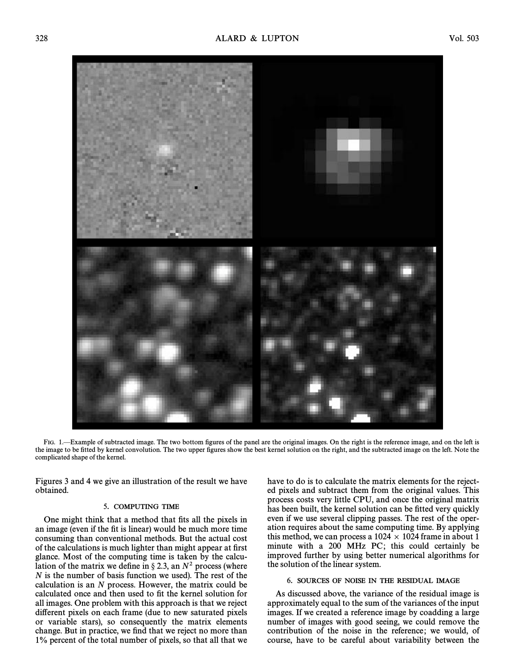

FIG. 1.—Example of subtracted image. The two bottom figures of the panel are the original images. On the right is the reference image, and on the left is the image to be fitted by kernel convolution. The two upper figures show the best kernel solution on the right, and the subtracted image on the left. Note the complicated shape of the kernel.

Figures 3 and 4 we give an illustration of the result we have obtained.

## 5. COMPUTING TIME

One might think that a method that fits all the pixels in an image (even if the fit is linear) would be much more time consuming than conventional methods. But the actual cost of the calculations is much lighter than might appear at first glance. Most of the computing time is taken by the calculation of the matrix we define in  $\S 2.3$ , an  $N^2$  process (where  $N$  is the number of basis function we used). The rest of the calculation is an  $N$  process. However, the matrix could be calculated once and then used to fit the kernel solution for all images. One problem with this approach is that we reject different pixels on each frame (due to new saturated pixels or variable stars), so consequently the matrix elements change. But in practice, we find that we reject no more than 1% percent of the total number of pixels, so that all that we have to do is to calculate the matrix elements for the rejected pixels and subtract them from the original values. This process costs very little CPU, and once the original matrix has been built, the kernel solution can be fitted very quickly even if we use several clipping passes. The rest of the operation requires about the same computing time. By applying this method, we can process a  $1024 \times 1024$  frame in about 1 minute with a 200 MHz PC; this could certainly be improved further by using better numerical algorithms for the solution of the linear system.

## 6. SOURCES OF NOISE IN THE RESIDUAL IMAGE

As discussed above, the variance of the residual image is approximately equal to the sum of the variances of the input images. If we created a reference image by coadding a large number of images with good seeing, we could remove the contribution of the noise in the reference; we would, of course, have to be careful about variability between the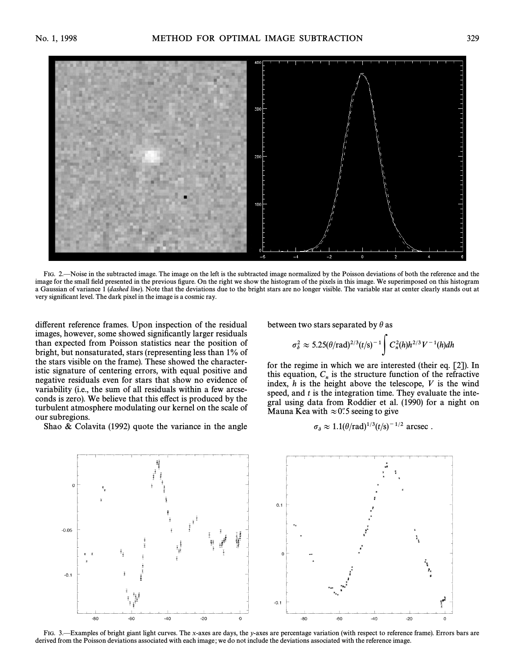

FIG. 2. Noise in the subtracted image. The image on the left is the subtracted image normalized by the Poisson deviations of both the reference and the image for the small field presented in the previous figure. On the right we show the histogram of the pixels in this image. We superimposed on this histogram a Gaussian of variance 1 (dashed line). Note that the deviations due to the bright stars are no longer visible. The variable star at center clearly stands out at very significant level. The dark pixel in the image is a cosmic ray.

different reference frames. Upon inspection of the residual images, however, some showed significantly larger residuals than expected from Poisson statistics near the position of bright, but nonsaturated, stars (representing less than 1% of the stars visible on the frame). These showed the characteristic signature of centering errors, with equal positive and negative residuals even for stars that show no evidence of variability (i.e., the sum of all residuals within a few arcseconds is zero). We believe that this effect is produced by the turbulent atmosphere modulating our kernel on the scale of our subregions.

Shao  $\&$  Colavita (1992) quote the variance in the angle

between two stars separated by 
$$
\theta
$$
 as  

$$
\sigma_{\delta}^2 \approx 5.25(\theta/\text{rad})^{2/3}(t/\text{s})^{-1} \int C_n^2(h)h^{2/3}V^{-1}(h)dh
$$

for the regime in which we are interested (their eq. [2]). In this equation,  $C_n$  is the structure function of the refractive index, h is the height above the telescope, V is the wind speed, and  $t$  is the integration time. They evaluate the integral using data from Roddier et al. (1990) for a night on Mauna Kea with  $\approx 0.5$  seeing to give

$$
\sigma_{\delta} \approx 1.1(\theta/\text{rad})^{1/3}(t/\text{s})^{-1/2} \text{ arcsec}.
$$



FIG. 3.—Examples of bright giant light curves. The x-axes are days, the y-axes are percentage variation (with respect to reference frame). Errors bars are derived from the Poisson deviations associated with each image; we do not include the deviations associated with the reference image.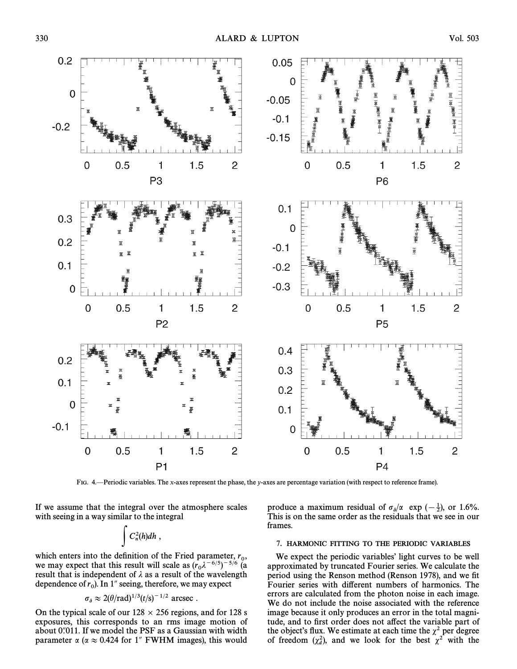

FIG. 4.—Periodic variables. The x-axes represent the phase, the y-axes are percentage variation (with respect to reference frame).

If we assume that the integral over the atmosphere scales with seeing in a way similar to the integral<br> $\int C_n^2(h) dh$ ,

$$
\int C_n^2(h)dh,
$$

which enters into the definition of the Fried parameter,  $r_0$ , when enters me the definition of the 1 hea parameter,  $h_0^2$ ,<br>we may expect that this result will scale as  $(r_0 \lambda^{-6/5})^{-5/6}$  (a result that is independent of  $\lambda$  as a result of the wavelength dependence of  $r_0$ ). In 1" seeing, therefore, we may expect

$$
\sigma_{\delta} \approx 2(\theta/\text{rad})^{1/3}(t/\text{s})^{-1/2} \text{ arcsec}.
$$

On the typical scale of our  $128 \times 256$  regions, and for 128 s exposures, this corresponds to an rms image motion of about  $0$ . (011. If we model the PSF as a Gaussian with width parameter  $\alpha$  ( $\alpha \approx 0.424$  for 1" FWHM images), this would

produce a maximum residual of  $\sigma_{\delta}/\alpha$  exp ( $-\frac{1}{2}$ ), or 1.6%. This is on the same order as the residuals that we see in our frames.

### 7. HARMONIC FITTING TO THE PERIODIC VARIABLES

We expect the periodic variables' light curves to be well approximated by truncated Fourier series. We calculate the period using the Renson method (Renson 1978), and we fit Fourier series with different numbers of harmonics. The errors are calculated from the photon noise in each image. We do not include the noise associated with the reference image because it only produces an error in the total magnitude, and to first order does not affect the variable part of the object's flux. We estimate at each time the  $\chi^2$  per degree of freedom  $(\chi_d^2)$ , and we look for the best  $\chi^2$  with the